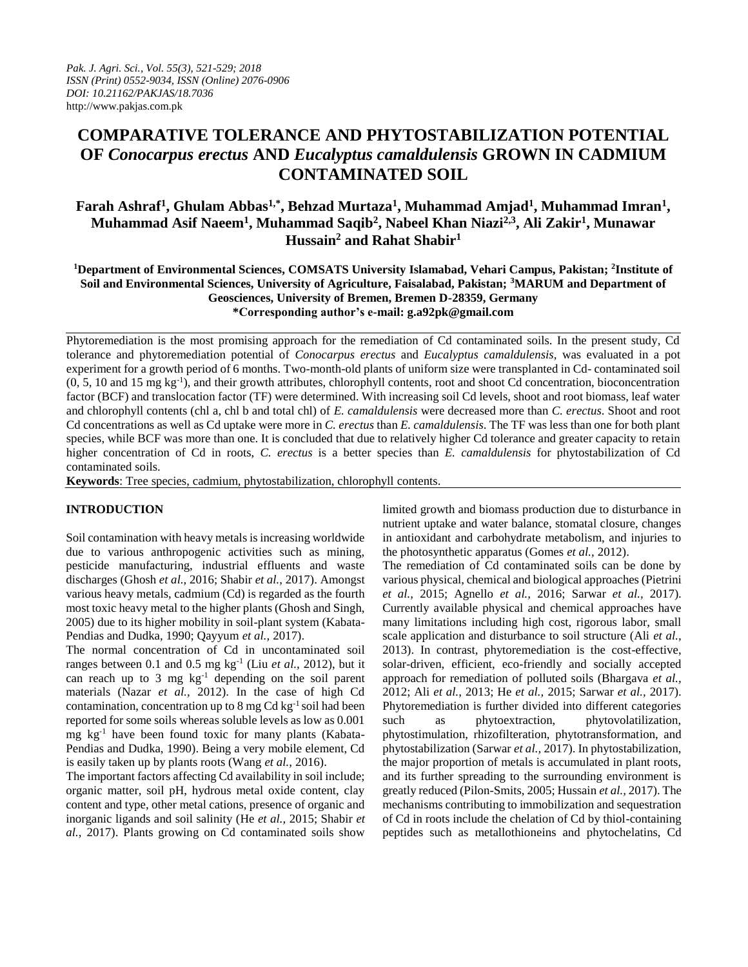# **COMPARATIVE TOLERANCE AND PHYTOSTABILIZATION POTENTIAL OF** *Conocarpus erectus* **AND** *Eucalyptus camaldulensis* **GROWN IN CADMIUM CONTAMINATED SOIL**

## **Farah Ashraf<sup>1</sup> , Ghulam Abbas1,\* , Behzad Murtaza<sup>1</sup> , Muhammad Amjad<sup>1</sup> , Muhammad Imran<sup>1</sup> , Muhammad Asif Naeem<sup>1</sup> , Muhammad Saqib<sup>2</sup> , Nabeel Khan Niazi2,3, Ali Zakir<sup>1</sup> , Munawar Hussain<sup>2</sup> and Rahat Shabir<sup>1</sup>**

**<sup>1</sup>Department of Environmental Sciences, COMSATS University Islamabad, Vehari Campus, Pakistan; <sup>2</sup> Institute of Soil and Environmental Sciences, University of Agriculture, Faisalabad, Pakistan; <sup>3</sup>MARUM and Department of Geosciences, University of Bremen, Bremen D-28359, Germany \*Corresponding author's e-mail: g.a92pk@gmail.com**

Phytoremediation is the most promising approach for the remediation of Cd contaminated soils. In the present study, Cd tolerance and phytoremediation potential of *Conocarpus erectus* and *Eucalyptus camaldulensis*, was evaluated in a pot experiment for a growth period of 6 months. Two-month-old plants of uniform size were transplanted in Cd- contaminated soil (0, 5, 10 and 15 mg kg-1 ), and their growth attributes, chlorophyll contents, root and shoot Cd concentration, bioconcentration factor (BCF) and translocation factor (TF) were determined. With increasing soil Cd levels, shoot and root biomass, leaf water and chlorophyll contents (chl a, chl b and total chl) of *E. camaldulensis* were decreased more than *C. erectus*. Shoot and root Cd concentrations as well as Cd uptake were more in *C. erectus* than *E. camaldulensis*. The TF was less than one for both plant species, while BCF was more than one. It is concluded that due to relatively higher Cd tolerance and greater capacity to retain higher concentration of Cd in roots, *C. erectus* is a better species than *E. camaldulensis* for phytostabilization of Cd contaminated soils.

**Keywords**: Tree species, cadmium, phytostabilization, chlorophyll contents.

## **INTRODUCTION**

Soil contamination with heavy metals is increasing worldwide due to various anthropogenic activities such as mining, pesticide manufacturing, industrial effluents and waste discharges (Ghosh *et al.,* 2016; Shabir *et al.,* 2017). Amongst various heavy metals, cadmium (Cd) is regarded as the fourth most toxic heavy metal to the higher plants (Ghosh and Singh, 2005) due to its higher mobility in soil-plant system (Kabata-Pendias and Dudka, 1990; Qayyum *et al.,* 2017).

The normal concentration of Cd in uncontaminated soil ranges between 0.1 and 0.5 mg kg<sup>-1</sup> (Liu *et al.*, 2012), but it can reach up to 3 mg kg-1 depending on the soil parent materials (Nazar *et al.,* 2012). In the case of high Cd contamination, concentration up to  $8 \text{ mg Cd kg}^{-1}$  soil had been reported for some soils whereas soluble levels as low as 0.001 mg  $kg^{-1}$  have been found toxic for many plants (Kabata-Pendias and Dudka, 1990). Being a very mobile element, Cd is easily taken up by plants roots (Wang *et al.,* 2016).

The important factors affecting Cd availability in soil include; organic matter, soil pH, hydrous metal oxide content, clay content and type, other metal cations, presence of organic and inorganic ligands and soil salinity (He *et al.,* 2015; Shabir *et al.,* 2017). Plants growing on Cd contaminated soils show

limited growth and biomass production due to disturbance in nutrient uptake and water balance, stomatal closure, changes in antioxidant and carbohydrate metabolism, and injuries to the photosynthetic apparatus (Gomes *et al.,* 2012).

The remediation of Cd contaminated soils can be done by various physical, chemical and biological approaches (Pietrini *et al.,* 2015; Agnello *et al.,* 2016; Sarwar *et al.,* 2017). Currently available physical and chemical approaches have many limitations including high cost, rigorous labor, small scale application and disturbance to soil structure (Ali *et al.,* 2013). In contrast, phytoremediation is the cost-effective, solar-driven, efficient, eco-friendly and socially accepted approach for remediation of polluted soils (Bhargava *et al.,* 2012; Ali *et al.,* 2013; He *et al.,* 2015; Sarwar *et al.,* 2017). Phytoremediation is further divided into different categories such as phytoextraction, phytovolatilization, phytostimulation, rhizofilteration, phytotransformation, and phytostabilization (Sarwar *et al.,* 2017). In phytostabilization, the major proportion of metals is accumulated in plant roots, and its further spreading to the surrounding environment is greatly reduced (Pilon-Smits, 2005; Hussain *et al.,* 2017). The mechanisms contributing to immobilization and sequestration of Cd in roots include the chelation of Cd by thiol-containing peptides such as metallothioneins and phytochelatins, Cd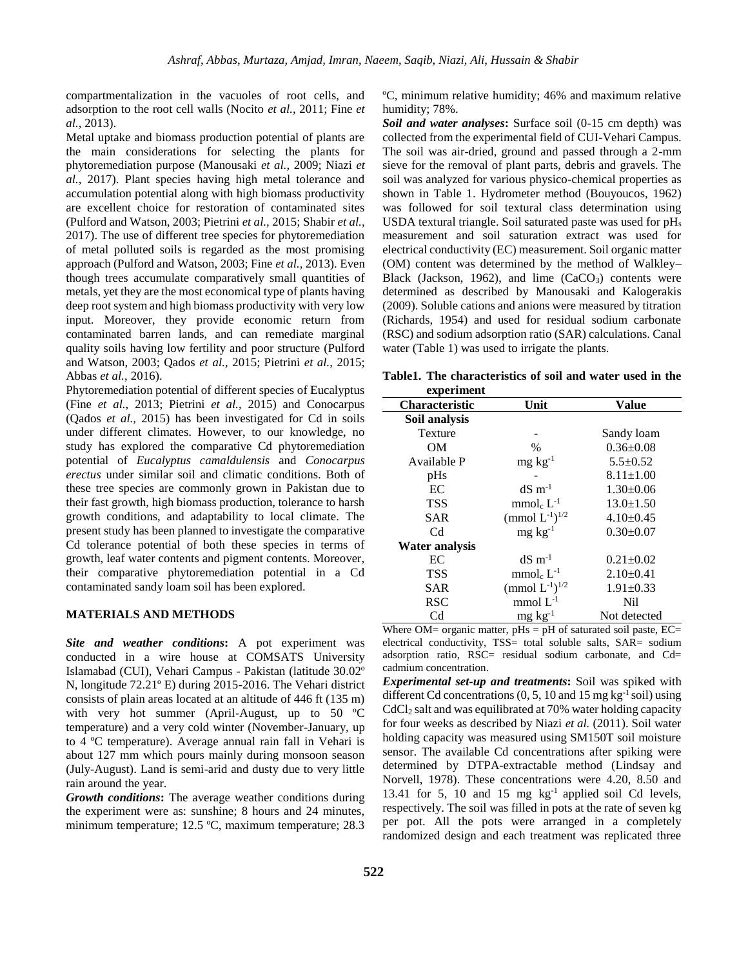compartmentalization in the vacuoles of root cells, and adsorption to the root cell walls (Nocito *et al.,* 2011; Fine *et al.,* 2013).

Metal uptake and biomass production potential of plants are the main considerations for selecting the plants for phytoremediation purpose (Manousaki *et al.,* 2009; Niazi *et al.,* 2017). Plant species having high metal tolerance and accumulation potential along with high biomass productivity are excellent choice for restoration of contaminated sites (Pulford and Watson, 2003; Pietrini *et al.,* 2015; Shabir *et al.,* 2017). The use of different tree species for phytoremediation of metal polluted soils is regarded as the most promising approach (Pulford and Watson, 2003; Fine *et al.,* 2013). Even though trees accumulate comparatively small quantities of metals, yet they are the most economical type of plants having deep root system and high biomass productivity with very low input. Moreover, they provide economic return from contaminated barren lands, and can remediate marginal quality soils having low fertility and poor structure (Pulford and Watson, 2003; Qados *et al.,* 2015; Pietrini *et al.,* 2015; Abbas *et al.,* 2016).

Phytoremediation potential of different species of Eucalyptus (Fine *et al.,* 2013; Pietrini *et al.,* 2015) and Conocarpus (Qados *et al.,* 2015) has been investigated for Cd in soils under different climates. However, to our knowledge, no study has explored the comparative Cd phytoremediation potential of *Eucalyptus camaldulensis* and *Conocarpus erectus* under similar soil and climatic conditions. Both of these tree species are commonly grown in Pakistan due to their fast growth, high biomass production, tolerance to harsh growth conditions, and adaptability to local climate. The present study has been planned to investigate the comparative Cd tolerance potential of both these species in terms of growth, leaf water contents and pigment contents. Moreover, their comparative phytoremediation potential in a Cd contaminated sandy loam soil has been explored.

#### **MATERIALS AND METHODS**

*Site and weather conditions***:** A pot experiment was conducted in a wire house at COMSATS University Islamabad (CUI), Vehari Campus - Pakistan (latitude 30.02º N, longitude 72.21º E) during 2015-2016. The Vehari district consists of plain areas located at an altitude of 446 ft (135 m) with very hot summer (April-August, up to 50 ºC temperature) and a very cold winter (November-January, up to 4 ºC temperature). Average annual rain fall in Vehari is about 127 mm which pours mainly during monsoon season (July-August). Land is semi-arid and dusty due to very little rain around the year.

*Growth conditions***:** The average weather conditions during the experiment were as: sunshine; 8 hours and 24 minutes, minimum temperature; 12.5 ºC, maximum temperature; 28.3

ºC, minimum relative humidity; 46% and maximum relative humidity; 78%.

*Soil and water analyses***:** Surface soil (0-15 cm depth) was collected from the experimental field of CUI-Vehari Campus. The soil was air-dried, ground and passed through a 2-mm sieve for the removal of plant parts, debris and gravels. The soil was analyzed for various physico-chemical properties as shown in Table 1. Hydrometer method (Bouyoucos, 1962) was followed for soil textural class determination using USDA textural triangle. Soil saturated paste was used for  $pH_s$ measurement and soil saturation extract was used for electrical conductivity (EC) measurement. Soil organic matter (OM) content was determined by the method of Walkley– Black (Jackson, 1962), and lime  $(CaCO<sub>3</sub>)$  contents were determined as described by Manousaki and Kalogerakis (2009). Soluble cations and anions were measured by titration (Richards, 1954) and used for residual sodium carbonate (RSC) and sodium adsorption ratio (SAR) calculations. Canal water (Table 1) was used to irrigate the plants.

**Table1. The characteristics of soil and water used in the experiment**

| ехрегипент            |                                              |                 |  |
|-----------------------|----------------------------------------------|-----------------|--|
| <b>Characteristic</b> | Unit                                         | Value           |  |
| Soil analysis         |                                              |                 |  |
| Texture               |                                              | Sandy loam      |  |
| <b>OM</b>             | $\%$                                         | $0.36 \pm 0.08$ |  |
| Available P           | $mg \, kg^{-1}$                              | $5.5 \pm 0.52$  |  |
| pHs                   |                                              | $8.11 \pm 1.00$ |  |
| EC                    | $dS \, m^{-1}$                               | $1.30\pm0.06$   |  |
| <b>TSS</b>            | $mmolc L-1$                                  | $13.0 \pm 1.50$ |  |
| <b>SAR</b>            | (mmol $L^{-1}$ ) <sup><math>1/2</math></sup> | $4.10 \pm 0.45$ |  |
| C <sub>d</sub>        | $mg \, kg^{-1}$                              | $0.30 \pm 0.07$ |  |
| Water analysis        |                                              |                 |  |
| EC                    | $dS$ m <sup>-1</sup>                         | $0.21 \pm 0.02$ |  |
| <b>TSS</b>            | $mmolc L-1$                                  | $2.10\pm0.41$   |  |
| <b>SAR</b>            | (mmol $L^{-1}$ ) <sup><math>1/2</math></sup> | $1.91 \pm 0.33$ |  |
| <b>RSC</b>            | mmol $L^{-1}$                                | Nil             |  |
| C <sub>d</sub>        | $mg \, kg^{-1}$                              | Not detected    |  |

Where  $OM =$  organic matter,  $pHs = pH$  of saturated soil paste,  $EC =$ electrical conductivity, TSS= total soluble salts, SAR= sodium adsorption ratio, RSC= residual sodium carbonate, and Cd= cadmium concentration.

*Experimental set-up and treatments***:** Soil was spiked with different Cd concentrations  $(0, 5, 10 \text{ and } 15 \text{ mg kg}^{-1} \text{ soil})$  using CdCl<sub>2</sub> salt and was equilibrated at 70% water holding capacity for four weeks as described by Niazi *et al.* (2011). Soil water holding capacity was measured using SM150T soil moisture sensor. The available Cd concentrations after spiking were determined by DTPA-extractable method (Lindsay and Norvell, 1978). These concentrations were 4.20, 8.50 and 13.41 for 5, 10 and 15 mg  $kg^{-1}$  applied soil Cd levels, respectively. The soil was filled in pots at the rate of seven kg per pot. All the pots were arranged in a completely randomized design and each treatment was replicated three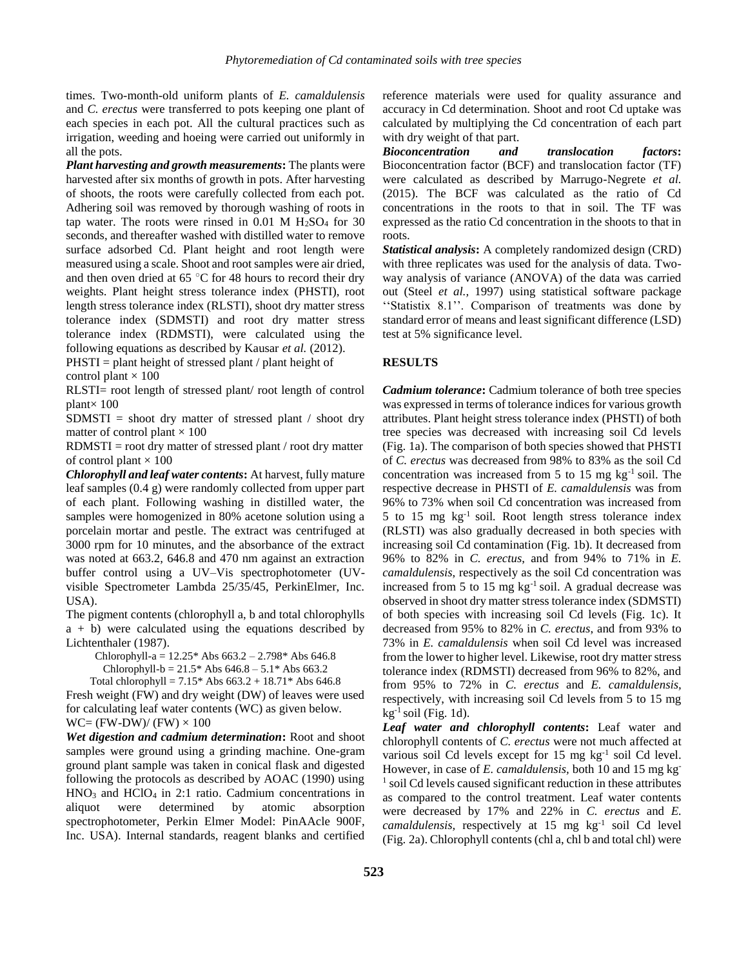times. Two-month-old uniform plants of *E. camaldulensis*  and *C. erectus* were transferred to pots keeping one plant of each species in each pot. All the cultural practices such as irrigation, weeding and hoeing were carried out uniformly in all the pots.

*Plant harvesting and growth measurements***:** The plants were harvested after six months of growth in pots. After harvesting of shoots, the roots were carefully collected from each pot. Adhering soil was removed by thorough washing of roots in tap water. The roots were rinsed in  $0.01$  M  $H<sub>2</sub>SO<sub>4</sub>$  for 30 seconds, and thereafter washed with distilled water to remove surface adsorbed Cd. Plant height and root length were measured using a scale. Shoot and root samples were air dried, and then oven dried at 65 $\degree$ C for 48 hours to record their dry weights. Plant height stress tolerance index (PHSTI), root length stress tolerance index (RLSTI), shoot dry matter stress tolerance index (SDMSTI) and root dry matter stress tolerance index (RDMSTI), were calculated using the following equations as described by Kausar *et al.* (2012).

PHSTI = plant height of stressed plant / plant height of

control plant  $\times$  100

RLSTI= root length of stressed plant/ root length of control plant $\times$  100

 $SDMSTI =$  shoot dry matter of stressed plant / shoot dry matter of control plant  $\times$  100

RDMSTI = root dry matter of stressed plant / root dry matter of control plant  $\times$  100

*Chlorophyll and leaf water contents***:** At harvest, fully mature leaf samples (0.4 g) were randomly collected from upper part of each plant. Following washing in distilled water, the samples were homogenized in 80% acetone solution using a porcelain mortar and pestle. The extract was centrifuged at 3000 rpm for 10 minutes, and the absorbance of the extract was noted at 663.2, 646.8 and 470 nm against an extraction buffer control using a UV–Vis spectrophotometer (UVvisible Spectrometer Lambda 25/35/45, PerkinElmer, Inc. USA).

The pigment contents (chlorophyll a, b and total chlorophylls  $a + b$ ) were calculated using the equations described by Lichtenthaler (1987).

Chlorophyll-a =  $12.25*$  Abs  $663.2 - 2.798*$  Abs  $646.8$ 

Chlorophyll-b =  $21.5*$  Abs  $646.8 - 5.1*$  Abs  $663.2$ 

Total chlorophyll =  $7.15*$  Abs  $663.2 + 18.71*$  Abs  $646.8$ Fresh weight (FW) and dry weight (DW) of leaves were used for calculating leaf water contents (WC) as given below.  $WC = (FW-DW)/(FW) \times 100$ 

*Wet digestion and cadmium determination***:** Root and shoot samples were ground using a grinding machine. One-gram ground plant sample was taken in conical flask and digested following the protocols as described by AOAC (1990) using  $HNO<sub>3</sub>$  and  $HClO<sub>4</sub>$  in 2:1 ratio. Cadmium concentrations in aliquot were determined by atomic absorption spectrophotometer, Perkin Elmer Model: PinAAcle 900F, Inc. USA). Internal standards, reagent blanks and certified reference materials were used for quality assurance and accuracy in Cd determination. Shoot and root Cd uptake was calculated by multiplying the Cd concentration of each part with dry weight of that part.

*Bioconcentration and translocation factors***:**  Bioconcentration factor (BCF) and translocation factor (TF) were calculated as described by Marrugo-Negrete *et al.* (2015). The BCF was calculated as the ratio of Cd concentrations in the roots to that in soil. The TF was expressed as the ratio Cd concentration in the shoots to that in roots.

*Statistical analysis***:** A completely randomized design (CRD) with three replicates was used for the analysis of data. Twoway analysis of variance (ANOVA) of the data was carried out (Steel *et al.,* 1997) using statistical software package ''Statistix 8.1''. Comparison of treatments was done by standard error of means and least significant difference (LSD) test at 5% significance level.

### **RESULTS**

*Cadmium tolerance***:** Cadmium tolerance of both tree species was expressed in terms of tolerance indices for various growth attributes. Plant height stress tolerance index (PHSTI) of both tree species was decreased with increasing soil Cd levels (Fig. 1a). The comparison of both species showed that PHSTI of *C. erectus* was decreased from 98% to 83% as the soil Cd concentration was increased from 5 to 15 mg  $kg^{-1}$  soil. The respective decrease in PHSTI of *E. camaldulensis* was from 96% to 73% when soil Cd concentration was increased from 5 to 15 mg kg-1 soil*.* Root length stress tolerance index (RLSTI) was also gradually decreased in both species with increasing soil Cd contamination (Fig. 1b). It decreased from 96% to 82% in *C. erectus*, and from 94% to 71% in *E. camaldulensis*, respectively as the soil Cd concentration was increased from 5 to 15 mg  $kg^{-1}$  soil. A gradual decrease was observed in shoot dry matter stress tolerance index (SDMSTI) of both species with increasing soil Cd levels (Fig. 1c). It decreased from 95% to 82% in *C. erectus*, and from 93% to 73% in *E. camaldulensis* when soil Cd level was increased from the lower to higher level. Likewise, root dry matter stress tolerance index (RDMSTI) decreased from 96% to 82%, and from 95% to 72% in *C. erectus* and *E. camaldulensis,*  respectively, with increasing soil Cd levels from 5 to 15 mg  $kg^{-1}$  soil (Fig. 1d).

*Leaf water and chlorophyll contents***:** Leaf water and chlorophyll contents of *C. erectus* were not much affected at various soil Cd levels except for  $15 \text{ mg kg}^{-1}$  soil Cd level. However, in case of *E. camaldulensis,* both 10 and 15 mg kg-<sup>1</sup> soil Cd levels caused significant reduction in these attributes as compared to the control treatment. Leaf water contents were decreased by 17% and 22% in *C. erectus* and *E.*  camaldulensis, respectively at 15 mg kg<sup>-1</sup> soil Cd level (Fig. 2a). Chlorophyll contents (chl a, chl b and total chl) were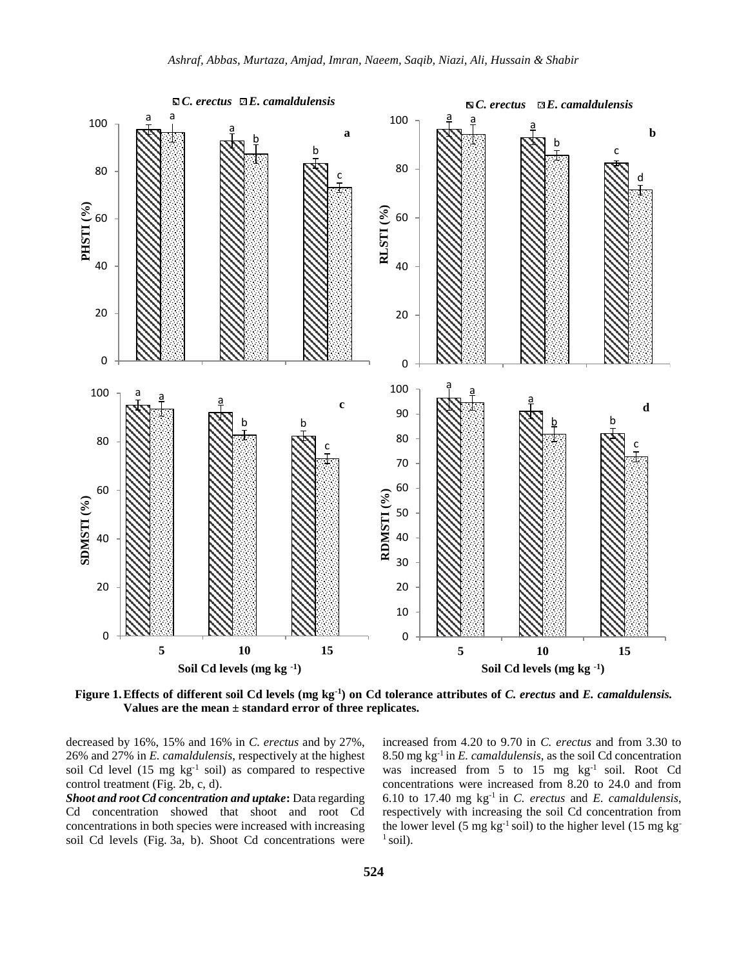

**Figure 1.Effects of different soil Cd levels (mg kg-1 ) on Cd tolerance attributes of** *C. erectus* **and** *E. camaldulensis.*  **Values are the mean ± standard error of three replicates.** 

decreased by 16%, 15% and 16% in *C. erectus* and by 27%, 26% and 27% in *E. camaldulensis*, respectively at the highest soil Cd level  $(15 \text{ mg kg}^{-1} \text{ soil})$  as compared to respective control treatment (Fig. 2b, c, d).

*Shoot and root Cd concentration and uptake***:** Data regarding Cd concentration showed that shoot and root Cd concentrations in both species were increased with increasing soil Cd levels (Fig. 3a, b). Shoot Cd concentrations were increased from 4.20 to 9.70 in *C. erectus* and from 3.30 to 8.50 mg kg-1 in *E. camaldulensis*, as the soil Cd concentration was increased from 5 to 15 mg kg<sup>-1</sup> soil. Root Cd concentrations were increased from 8.20 to 24.0 and from 6.10 to 17.40 mg kg-1 in *C. erectus* and *E. camaldulensis*, respectively with increasing the soil Cd concentration from the lower level (5 mg  $kg^{-1}$  soil) to the higher level (15 mg kg<sup>-1</sup>  $<sup>1</sup>$  soil).</sup>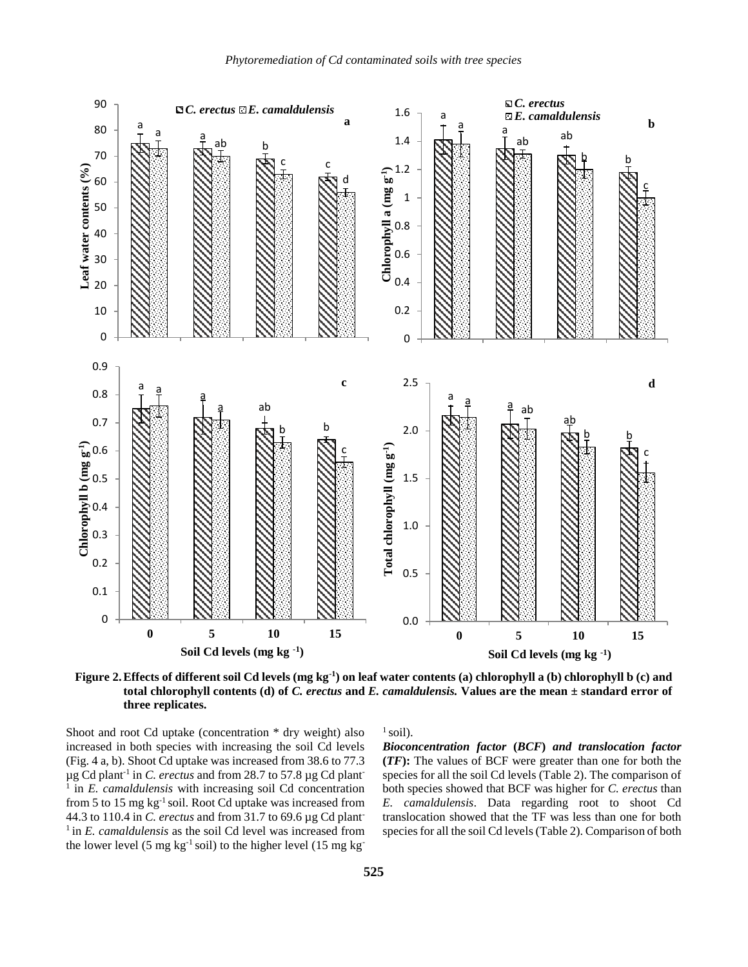

**Figure 2.Effects of different soil Cd levels (mg kg-1 ) on leaf water contents (a) chlorophyll a (b) chlorophyll b (c) and total chlorophyll contents (d) of** *C. erectus* **and** *E. camaldulensis.* **Values are the mean ± standard error of three replicates.**

Shoot and root Cd uptake (concentration \* dry weight) also increased in both species with increasing the soil Cd levels (Fig. 4 a, b). Shoot Cd uptake was increased from 38.6 to 77.3 µg Cd plant-1 in *C. erectus* and from 28.7 to 57.8 µg Cd plant-1 in *E. camaldulensis* with increasing soil Cd concentration from 5 to 15 mg  $kg^{-1}$  soil. Root Cd uptake was increased from 44.3 to 110.4 in *C. erectus* and from 31.7 to 69.6 µg Cd plant-<sup>1</sup> in *E. camaldulensis* as the soil Cd level was increased from the lower level (5 mg kg<sup>-1</sup> soil) to the higher level (15 mg kg<sup>-1</sup>)

 $<sup>1</sup>$  soil).</sup>

*Bioconcentration factor* **(***BCF***)** *and translocation factor*  **(***TF***):** The values of BCF were greater than one for both the species for all the soil Cd levels (Table 2). The comparison of both species showed that BCF was higher for *C. erectus* than *E. camaldulensis*. Data regarding root to shoot Cd translocation showed that the TF was less than one for both species for all the soil Cd levels (Table 2). Comparison of both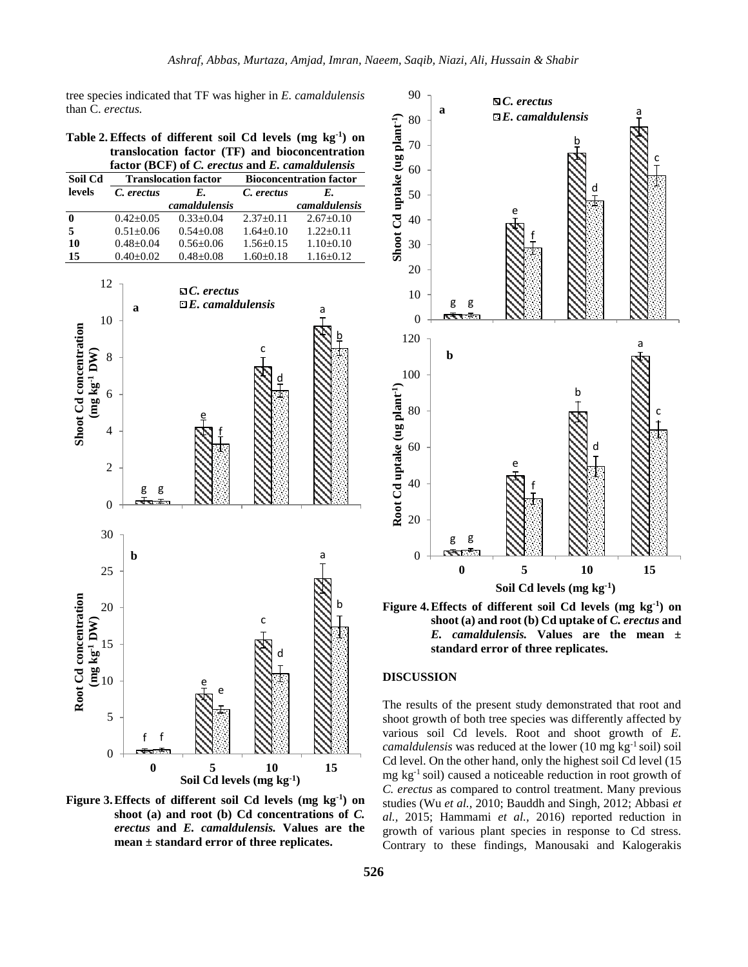tree species indicated that TF was higher in *E. camaldulensis*  than C. *erectus.*

**Table 2.Effects of different soil Cd levels (mg kg-1 ) on translocation factor (TF) and bioconcentration factor (BCF) of** *C. erectus* **and** *E. camaldulensis*

| Soil Cd | <b>Translocation factor</b> |               | <b>Bioconcentration factor</b> |               |
|---------|-----------------------------|---------------|--------------------------------|---------------|
| levels  | C. erectus                  | E.            | C. erectus                     | Е.            |
|         |                             | camaldulensis |                                | camaldulensis |
|         | $0.42 + 0.05$               | $0.33+0.04$   | $2.37+0.11$                    | $2.67+0.10$   |
| 5       | $0.51 + 0.06$               | $0.54 + 0.08$ | $1.64 + 0.10$                  | $1.22+0.11$   |
| 10      | $0.48 + 0.04$               | $0.56 + 0.06$ | $1.56 + 0.15$                  | $1.10+0.10$   |
| 15      | $0.40+0.02$                 | $0.48 + 0.08$ | $1.60+0.18$                    | $1.16 + 0.12$ |







**shoot (a) and root (b) Cd uptake of** *C. erectus* **and**  *E. camaldulensis.* **Values are the mean ± standard error of three replicates.**

## **DISCUSSION**

The results of the present study demonstrated that root and shoot growth of both tree species was differently affected by various soil Cd levels. Root and shoot growth of *E. camaldulensis* was reduced at the lower (10 mg kg<sup>-1</sup> soil) soil Cd level. On the other hand, only the highest soil Cd level (15 mg kg-1 soil) caused a noticeable reduction in root growth of *C. erectus* as compared to control treatment. Many previous studies (Wu *et al.,* 2010; Bauddh and Singh, 2012; Abbasi *et al.,* 2015; Hammami *et al.,* 2016) reported reduction in growth of various plant species in response to Cd stress. Contrary to these findings, Manousaki and Kalogerakis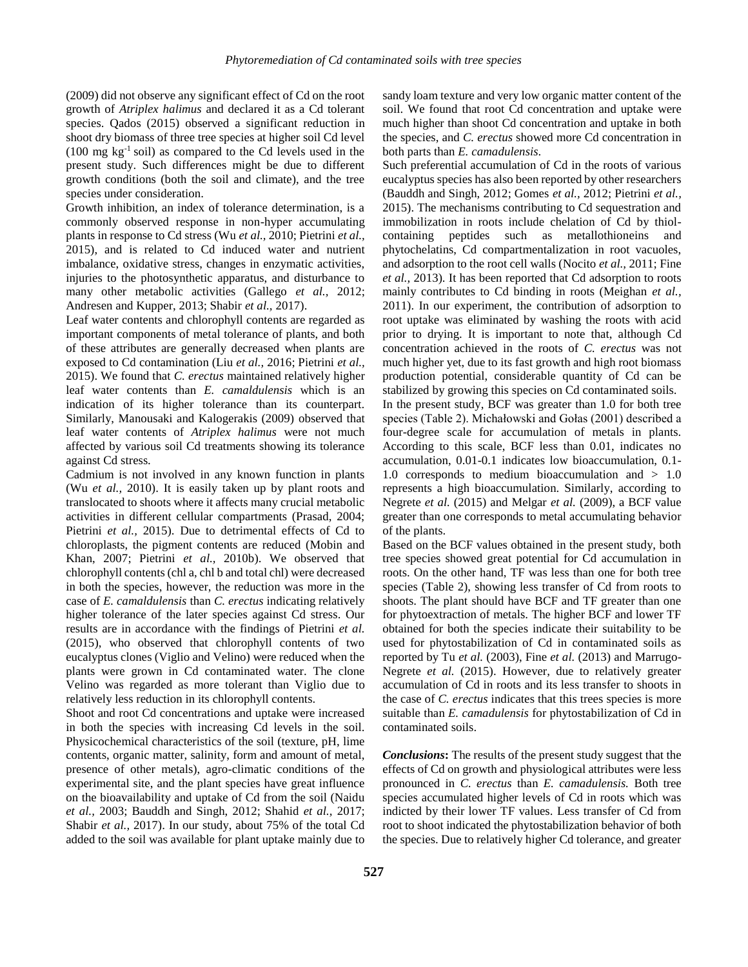(2009) did not observe any significant effect of Cd on the root growth of *Atriplex halimus* and declared it as a Cd tolerant species. Qados (2015) observed a significant reduction in shoot dry biomass of three tree species at higher soil Cd level  $(100 \text{ mg kg}^{-1} \text{ soil})$  as compared to the Cd levels used in the present study. Such differences might be due to different growth conditions (both the soil and climate), and the tree species under consideration.

Growth inhibition, an index of tolerance determination, is a commonly observed response in non-hyper accumulating plants in response to Cd stress (Wu *et al.,* 2010; Pietrini *et al.,* 2015), and is related to Cd induced water and nutrient imbalance, oxidative stress, changes in enzymatic activities, injuries to the photosynthetic apparatus, and disturbance to many other metabolic activities (Gallego *et al.,* 2012; Andresen and Kupper, 2013; Shabir *et al.,* 2017).

Leaf water contents and chlorophyll contents are regarded as important components of metal tolerance of plants, and both of these attributes are generally decreased when plants are exposed to Cd contamination (Liu *et al.,* 2016; Pietrini *et al.,* 2015). We found that *C. erectus* maintained relatively higher leaf water contents than *E. camaldulensis* which is an indication of its higher tolerance than its counterpart*.*  Similarly, Manousaki and Kalogerakis (2009) observed that leaf water contents of *Atriplex halimus* were not much affected by various soil Cd treatments showing its tolerance against Cd stress.

Cadmium is not involved in any known function in plants (Wu *et al.,* 2010). It is easily taken up by plant roots and translocated to shoots where it affects many crucial metabolic activities in different cellular compartments (Prasad, 2004; Pietrini *et al.,* 2015). Due to detrimental effects of Cd to chloroplasts, the pigment contents are reduced (Mobin and Khan, 2007; Pietrini *et al.,* 2010b). We observed that chlorophyll contents (chl a, chl b and total chl) were decreased in both the species, however, the reduction was more in the case of *E. camaldulensis* than *C. erectus* indicating relatively higher tolerance of the later species against Cd stress. Our results are in accordance with the findings of Pietrini *et al.* (2015), who observed that chlorophyll contents of two eucalyptus clones (Viglio and Velino) were reduced when the plants were grown in Cd contaminated water. The clone Velino was regarded as more tolerant than Viglio due to relatively less reduction in its chlorophyll contents.

Shoot and root Cd concentrations and uptake were increased in both the species with increasing Cd levels in the soil. Physicochemical characteristics of the soil (texture, pH, lime contents, organic matter, salinity, form and amount of metal, presence of other metals), agro-climatic conditions of the experimental site, and the plant species have great influence on the bioavailability and uptake of Cd from the soil (Naidu *et al.,* 2003; Bauddh and Singh, 2012; Shahid *et al.,* 2017; Shabir *et al.,* 2017). In our study, about 75% of the total Cd added to the soil was available for plant uptake mainly due to

sandy loam texture and very low organic matter content of the soil. We found that root Cd concentration and uptake were much higher than shoot Cd concentration and uptake in both the species, and *C. erectus* showed more Cd concentration in both parts than *E. camadulensis*.

Such preferential accumulation of Cd in the roots of various eucalyptus species has also been reported by other researchers (Bauddh and Singh, 2012; Gomes *et al.,* 2012; Pietrini *et al.,* 2015). The mechanisms contributing to Cd sequestration and immobilization in roots include chelation of Cd by thiolcontaining peptides such as metallothioneins and phytochelatins, Cd compartmentalization in root vacuoles, and adsorption to the root cell walls (Nocito *et al.,* 2011; Fine *et al.,* 2013). It has been reported that Cd adsorption to roots mainly contributes to Cd binding in roots (Meighan *et al.,* 2011). In our experiment, the contribution of adsorption to root uptake was eliminated by washing the roots with acid prior to drying. It is important to note that, although Cd concentration achieved in the roots of *C. erectus* was not much higher yet, due to its fast growth and high root biomass production potential, considerable quantity of Cd can be stabilized by growing this species on Cd contaminated soils.

In the present study, BCF was greater than 1.0 for both tree species (Table 2). Michałowski and Gołas (2001) described a four-degree scale for accumulation of metals in plants. According to this scale, BCF less than 0.01, indicates no accumulation, 0.01-0.1 indicates low bioaccumulation, 0.1- 1.0 corresponds to medium bioaccumulation and > 1.0 represents a high bioaccumulation. Similarly, according to Negrete *et al.* (2015) and Melgar *et al.* (2009), a BCF value greater than one corresponds to metal accumulating behavior of the plants.

Based on the BCF values obtained in the present study, both tree species showed great potential for Cd accumulation in roots. On the other hand, TF was less than one for both tree species (Table 2), showing less transfer of Cd from roots to shoots. The plant should have BCF and TF greater than one for phytoextraction of metals. The higher BCF and lower TF obtained for both the species indicate their suitability to be used for phytostabilization of Cd in contaminated soils as reported by Tu *et al.* (2003), Fine *et al.* (2013) and Marrugo-Negrete *et al.* (2015). However, due to relatively greater accumulation of Cd in roots and its less transfer to shoots in the case of *C. erectus* indicates that this trees species is more suitable than *E. camadulensis* for phytostabilization of Cd in contaminated soils.

*Conclusions***:** The results of the present study suggest that the effects of Cd on growth and physiological attributes were less pronounced in *C. erectus* than *E. camadulensis.* Both tree species accumulated higher levels of Cd in roots which was indicted by their lower TF values. Less transfer of Cd from root to shoot indicated the phytostabilization behavior of both the species. Due to relatively higher Cd tolerance, and greater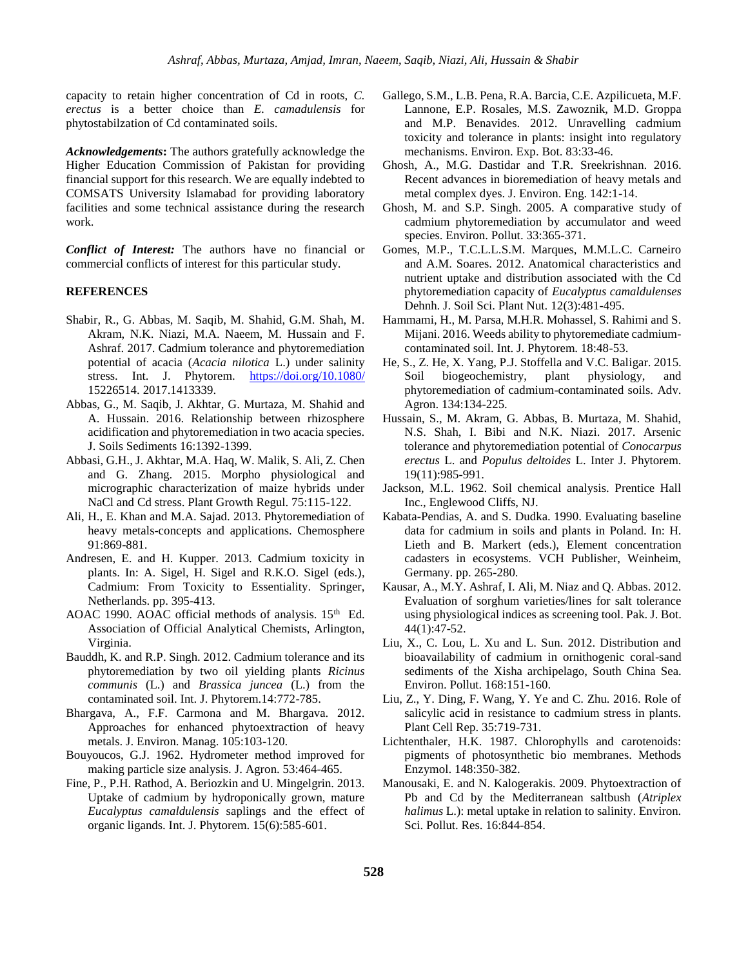capacity to retain higher concentration of Cd in roots, *C. erectus* is a better choice than *E. camadulensis* for phytostabilzation of Cd contaminated soils.

*Acknowledgements***:** The authors gratefully acknowledge the Higher Education Commission of Pakistan for providing financial support for this research. We are equally indebted to COMSATS University Islamabad for providing laboratory facilities and some technical assistance during the research work.

*Conflict of Interest:* The authors have no financial or commercial conflicts of interest for this particular study.

#### **REFERENCES**

- Shabir, R., G. Abbas, M. Saqib, M. Shahid, G.M. Shah, M. Akram, N.K. Niazi, M.A. Naeem, M. Hussain and F. Ashraf. 2017. Cadmium tolerance and phytoremediation potential of acacia (*Acacia nilotica* L.) under salinity stress. Int. J. Phytorem. <https://doi.org/10.1080/> 15226514. 2017.1413339.
- Abbas, G., M. Saqib, J. Akhtar, G. Murtaza, M. Shahid and A. Hussain. 2016. Relationship between rhizosphere acidification and phytoremediation in two acacia species. J. Soils Sediments 16:1392-1399.
- Abbasi, G.H., J. Akhtar, M.A. Haq, W. Malik, S. Ali, Z. Chen and G. Zhang. 2015. Morpho physiological and micrographic characterization of maize hybrids under NaCl and Cd stress. Plant Growth Regul. 75:115-122.
- Ali, H., E. Khan and M.A. Sajad. 2013. Phytoremediation of heavy metals-concepts and applications. Chemosphere 91:869-881.
- Andresen, E. and H. Kupper. 2013. Cadmium toxicity in plants. In: A. Sigel, H. Sigel and R.K.O. Sigel (eds.), Cadmium: From Toxicity to Essentiality. Springer, Netherlands. pp. 395-413.
- AOAC 1990. AOAC official methods of analysis.  $15<sup>th</sup>$  Ed. Association of Official Analytical Chemists, Arlington, Virginia.
- Bauddh, K. and R.P. Singh. 2012. Cadmium tolerance and its phytoremediation by two oil yielding plants *Ricinus communis* (L.) and *Brassica juncea* (L.) from the contaminated soil. Int. J. Phytorem.14:772-785.
- Bhargava, A., F.F. Carmona and M. Bhargava. 2012. Approaches for enhanced phytoextraction of heavy metals. J. Environ. Manag. 105:103-120.
- Bouyoucos, G.J. 1962. Hydrometer method improved for making particle size analysis. J. Agron. 53:464-465.
- Fine, P., P.H. Rathod, A. Beriozkin and U. Mingelgrin. 2013. Uptake of cadmium by hydroponically grown, mature *Eucalyptus camaldulensis* saplings and the effect of organic ligands. Int. J. Phytorem. 15(6):585-601.
- Gallego, S.M., L.B. Pena, R.A. Barcia, C.E. Azpilicueta, M.F. Lannone, E.P. Rosales, M.S. Zawoznik, M.D. Groppa and M.P. Benavides. 2012. Unravelling cadmium toxicity and tolerance in plants: insight into regulatory mechanisms. Environ. Exp. Bot. 83:33-46.
- Ghosh, A., M.G. Dastidar and T.R. Sreekrishnan. 2016. Recent advances in bioremediation of heavy metals and metal complex dyes. J. Environ. Eng. 142:1-14.
- Ghosh, M. and S.P. Singh. 2005. A comparative study of cadmium phytoremediation by accumulator and weed species. Environ. Pollut. 33:365-371.
- Gomes, M.P., T.C.L.L.S.M. Marques, M.M.L.C. Carneiro and A.M. Soares. 2012. Anatomical characteristics and nutrient uptake and distribution associated with the Cd phytoremediation capacity of *Eucalyptus camaldulenses* Dehnh. J. Soil Sci. Plant Nut. 12(3):481-495.
- Hammami, H., M. Parsa, M.H.R. Mohassel, S. Rahimi and S. Mijani. 2016. Weeds ability to phytoremediate cadmiumcontaminated soil. Int. J. Phytorem. 18:48-53.
- He, S., Z. He, X. Yang, P.J. Stoffella and V.C. Baligar. 2015. Soil biogeochemistry, plant physiology, and phytoremediation of cadmium-contaminated soils. Adv. Agron. 134:134-225.
- Hussain, S., M. Akram, G. Abbas, B. Murtaza, M. Shahid, N.S. Shah, I. Bibi and N.K. Niazi. 2017. Arsenic tolerance and phytoremediation potential of *Conocarpus erectus* L. and *Populus deltoides* L. Inter J. Phytorem. 19(11):985-991.
- Jackson, M.L. 1962. Soil chemical analysis. Prentice Hall Inc., Englewood Cliffs, NJ.
- Kabata-Pendias, A. and S. Dudka. 1990. Evaluating baseline data for cadmium in soils and plants in Poland. In: H. Lieth and B. Markert (eds.), Element concentration cadasters in ecosystems. VCH Publisher, Weinheim, Germany. pp. 265-280.
- Kausar, A., M.Y. Ashraf, I. Ali, M. Niaz and Q. Abbas. 2012. Evaluation of sorghum varieties/lines for salt tolerance using physiological indices as screening tool. Pak. J. Bot. 44(1):47-52.
- Liu, X., C. Lou, L. Xu and L. Sun. 2012. Distribution and bioavailability of cadmium in ornithogenic coral-sand sediments of the Xisha archipelago, South China Sea. Environ. Pollut. 168:151-160.
- Liu, Z., Y. Ding, F. Wang, Y. Ye and C. Zhu. 2016. Role of salicylic acid in resistance to cadmium stress in plants. Plant Cell Rep. 35:719-731.
- Lichtenthaler, H.K. 1987. Chlorophylls and carotenoids: pigments of photosynthetic bio membranes. Methods Enzymol. 148:350-382.
- Manousaki, E. and N. Kalogerakis. 2009. Phytoextraction of Pb and Cd by the Mediterranean saltbush (*Atriplex halimus* L.): metal uptake in relation to salinity. Environ. Sci. Pollut. Res. 16:844-854.